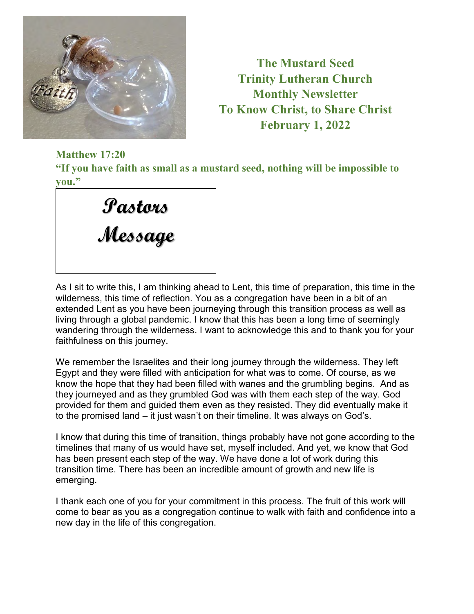

**The Mustard Seed Trinity Lutheran Church Monthly Newsletter To Know Christ, to Share Christ February 1, 2022** 

**Matthew 17:20** 

**"If you have faith as small as a mustard seed, nothing will be impossible to you."** 

| Pastons |  |
|---------|--|
| Message |  |
|         |  |

As I sit to write this, I am thinking ahead to Lent, this time of preparation, this time in the wilderness, this time of reflection. You as a congregation have been in a bit of an extended Lent as you have been journeying through this transition process as well as living through a global pandemic. I know that this has been a long time of seemingly wandering through the wilderness. I want to acknowledge this and to thank you for your faithfulness on this journey.

We remember the Israelites and their long journey through the wilderness. They left Egypt and they were filled with anticipation for what was to come. Of course, as we know the hope that they had been filled with wanes and the grumbling begins. And as they journeyed and as they grumbled God was with them each step of the way. God provided for them and guided them even as they resisted. They did eventually make it to the promised land – it just wasn't on their timeline. It was always on God's.

I know that during this time of transition, things probably have not gone according to the timelines that many of us would have set, myself included. And yet, we know that God has been present each step of the way. We have done a lot of work during this transition time. There has been an incredible amount of growth and new life is emerging.

I thank each one of you for your commitment in this process. The fruit of this work will come to bear as you as a congregation continue to walk with faith and confidence into a new day in the life of this congregation.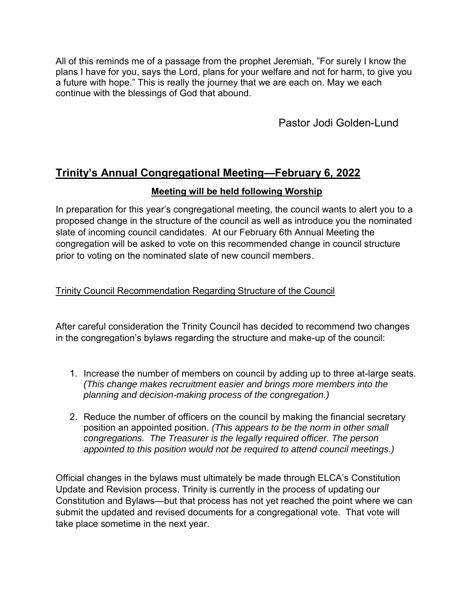All of this reminds me of a passage from the prophet Jeremiah, "For surely I know the plans I have for you, says the Lord, plans for your welfare and not for harm, to give you a future with hope." This is really the journey that we are each on. May we each continue with the blessings of God that abound.

Pastor Jodi Golden-Lund

# **Trinity's Annual Congregational Meeting—February 6, 2022**

### **Meeting will be held following Worship**

In preparation for this year's congregational meeting, the council wants to alert you to a proposed change in the structure of the council as well as introduce you the nominated slate of incoming council candidates. At our February 6th Annual Meeting the congregation will be asked to vote on this recommended change in council structure prior to voting on the nominated slate of new council members.

#### Trinity Council Recommendation Regarding Structure of the Council

After careful consideration the Trinity Council has decided to recommend two changes in the congregation's bylaws regarding the structure and make-up of the council:

- 1. Increase the number of members on council by adding up to three at-large seats. *(This change makes recruitment easier and brings more members into the planning and decision-making process of the congregation.)*
- 2. Reduce the number of officers on the council by making the financial secretary position an appointed position. *(This appears to be the norm in other small congregations. The Treasurer is the legally required officer. The person appointed to this position would not be required to attend council meetings.)*

Official changes in the bylaws must ultimately be made through ELCA's Constitution Update and Revision process. Trinity is currently in the process of updating our Constitution and Bylaws—but that process has not yet reached the point where we can submit the updated and revised documents for a congregational vote. That vote will take place sometime in the next year.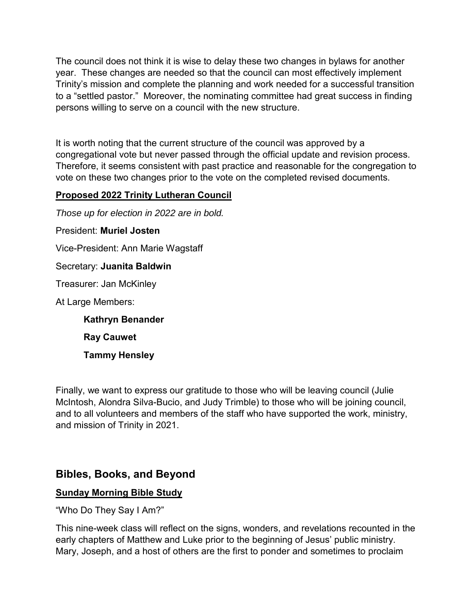The council does not think it is wise to delay these two changes in bylaws for another year. These changes are needed so that the council can most effectively implement Trinity's mission and complete the planning and work needed for a successful transition to a "settled pastor." Moreover, the nominating committee had great success in finding persons willing to serve on a council with the new structure.

It is worth noting that the current structure of the council was approved by a congregational vote but never passed through the official update and revision process. Therefore, it seems consistent with past practice and reasonable for the congregation to vote on these two changes prior to the vote on the completed revised documents.

### **Proposed 2022 Trinity Lutheran Council**

*Those up for election in 2022 are in bold.* 

President: **Muriel Josten** 

Vice-President: Ann Marie Wagstaff

Secretary: **Juanita Baldwin** 

Treasurer: Jan McKinley

At Large Members:

**Kathryn Benander Ray Cauwet Tammy Hensley** 

Finally, we want to express our gratitude to those who will be leaving council (Julie McIntosh, Alondra Silva-Bucio, and Judy Trimble) to those who will be joining council, and to all volunteers and members of the staff who have supported the work, ministry, and mission of Trinity in 2021.

## **Bibles, Books, and Beyond**

#### **Sunday Morning Bible Study**

"Who Do They Say I Am?"

This nine-week class will reflect on the signs, wonders, and revelations recounted in the early chapters of Matthew and Luke prior to the beginning of Jesus' public ministry. Mary, Joseph, and a host of others are the first to ponder and sometimes to proclaim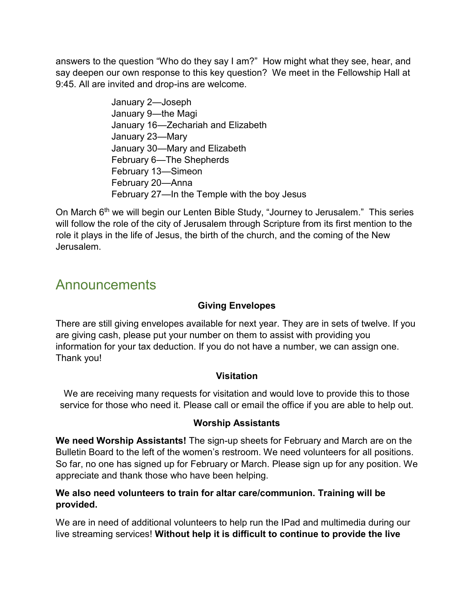answers to the question "Who do they say I am?" How might what they see, hear, and say deepen our own response to this key question? We meet in the Fellowship Hall at 9:45. All are invited and drop-ins are welcome.

> January 2—Joseph January 9—the Magi January 16—Zechariah and Elizabeth January 23—Mary January 30—Mary and Elizabeth February 6—The Shepherds February 13—Simeon February 20—Anna February 27—In the Temple with the boy Jesus

On March  $6<sup>th</sup>$  we will begin our Lenten Bible Study, "Journey to Jerusalem." This series will follow the role of the city of Jerusalem through Scripture from its first mention to the role it plays in the life of Jesus, the birth of the church, and the coming of the New Jerusalem.

# **Announcements**

## **Giving Envelopes**

There are still giving envelopes available for next year. They are in sets of twelve. If you are giving cash, please put your number on them to assist with providing you information for your tax deduction. If you do not have a number, we can assign one. Thank you!

### **Visitation**

We are receiving many requests for visitation and would love to provide this to those service for those who need it. Please call or email the office if you are able to help out.

### **Worship Assistants**

**We need Worship Assistants!** The sign-up sheets for February and March are on the Bulletin Board to the left of the women's restroom. We need volunteers for all positions. So far, no one has signed up for February or March. Please sign up for any position. We appreciate and thank those who have been helping.

#### **We also need volunteers to train for altar care/communion. Training will be provided.**

We are in need of additional volunteers to help run the IPad and multimedia during our live streaming services! **Without help it is difficult to continue to provide the live**